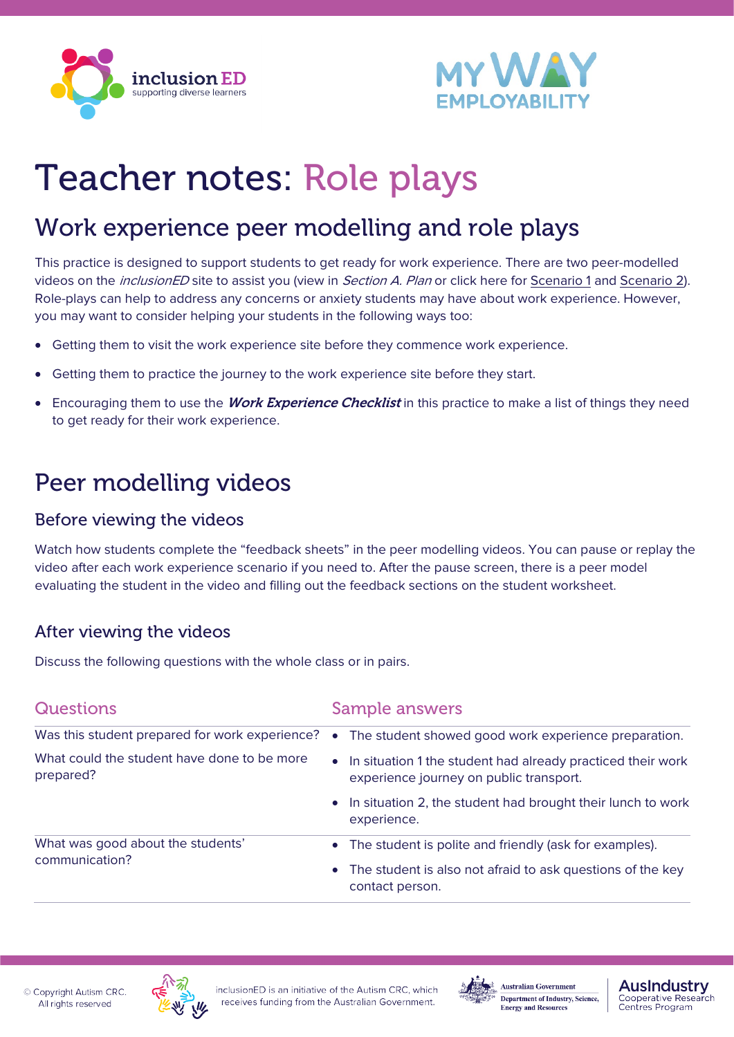



# Teacher notes: Role plays

## Work experience peer modelling and role plays

This practice is designed to support students to get ready for work experience. There are two peer-modelled videos on the *inclusionED* site to assist you (view in Section A. Plan or click here for [Scenario 1](https://youtu.be/eNmTHw7YnwE) and [Scenario 2\)](https://youtu.be/2EQ-frkJQMk). Role-plays can help to address any concerns or anxiety students may have about work experience. However, you may want to consider helping your students in the following ways too:

- Getting them to visit the work experience site before they commence work experience.
- Getting them to practice the journey to the work experience site before they start.
- Encouraging them to use the *Work Experience Checklist* in this practice to make a list of things they need to get ready for their work experience.

## Peer modelling videos

#### Before viewing the videos

Watch how students complete the "feedback sheets" in the peer modelling videos. You can pause or replay the video after each work experience scenario if you need to. After the pause screen, there is a peer model evaluating the student in the video and filling out the feedback sections on the student worksheet.

#### After viewing the videos

Discuss the following questions with the whole class or in pairs.

| <b>Questions</b>                                         | <b>Sample answers</b>                                                                                                                     |
|----------------------------------------------------------|-------------------------------------------------------------------------------------------------------------------------------------------|
| Was this student prepared for work experience?           | The student showed good work experience preparation.<br>$\bullet$                                                                         |
| What could the student have done to be more<br>prepared? | • In situation 1 the student had already practiced their work<br>experience journey on public transport.                                  |
|                                                          | In situation 2, the student had brought their lunch to work<br>experience.                                                                |
| What was good about the students'<br>communication?      | • The student is polite and friendly (ask for examples).<br>The student is also not afraid to ask questions of the key<br>contact person. |





**Australian Government** Department of Industry, Science, **Energy and Resources** 

**Auslndustry** 

Cooperative Research<br>Centres Program